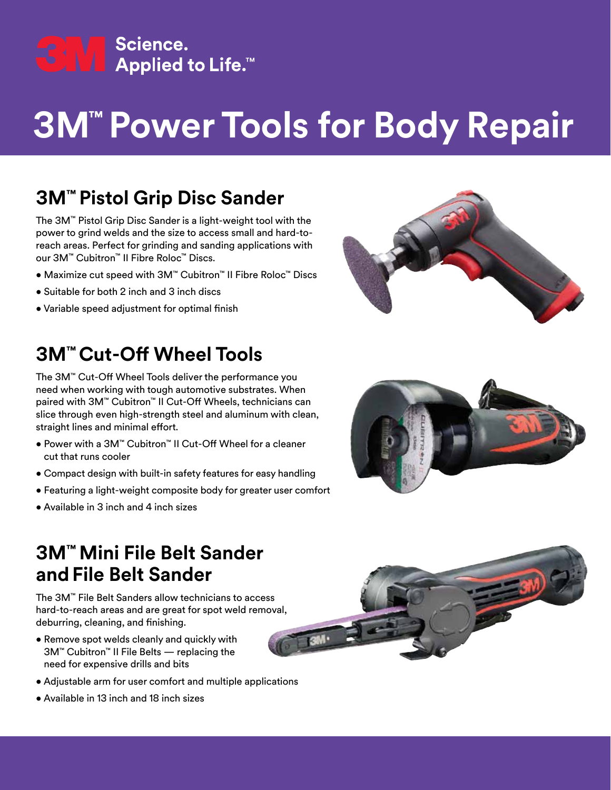

# **3M™ Power Tools for Body Repair**

### **3M™ Pistol Grip Disc Sander**

The 3M™ Pistol Grip Disc Sander is a light-weight tool with the power to grind welds and the size to access small and hard-toreach areas. Perfect for grinding and sanding applications with our 3M™ Cubitron™ II Fibre Roloc™ Discs.

- Maximize cut speed with 3M™ Cubitron™ II Fibre Roloc™ Discs
- Suitable for both 2 inch and 3 inch discs
- Variable speed adjustment for optimal finish

### **3M™ Cut-Off Wheel Tools**

The 3M™ Cut-Off Wheel Tools deliver the performance you need when working with tough automotive substrates. When paired with 3M™ Cubitron™ II Cut-Off Wheels, technicians can slice through even high-strength steel and aluminum with clean, straight lines and minimal effort.

- Power with a 3M™ Cubitron™ II Cut-Off Wheel for a cleaner cut that runs cooler
- Compact design with built-in safety features for easy handling
- Featuring a light-weight composite body for greater user comfort
- Available in 3 inch and 4 inch sizes





#### **3M™ Mini File Belt Sander and File Belt Sander**

The 3M™ File Belt Sanders allow technicians to access hard-to-reach areas and are great for spot weld removal, deburring, cleaning, and finishing.

- Remove spot welds cleanly and quickly with 3M™ Cubitron™ II File Belts — replacing the need for expensive drills and bits
- Adjustable arm for user comfort and multiple applications
- Available in 13 inch and 18 inch sizes